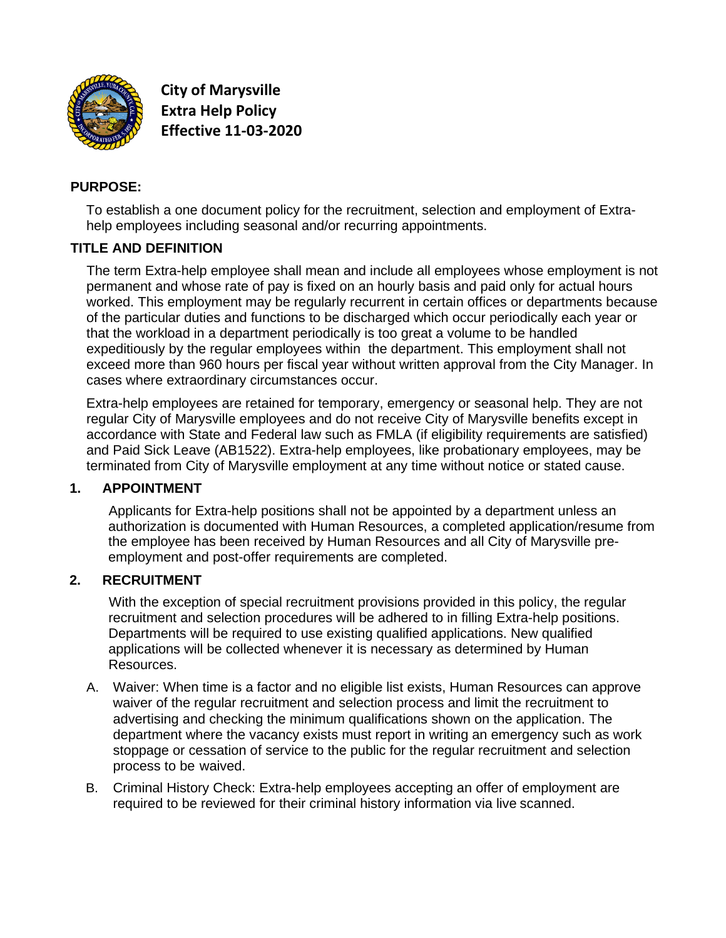

**City of Marysville Extra Help Policy Effective 11-03-2020**

### **PURPOSE:**

To establish a one document policy for the recruitment, selection and employment of Extrahelp employees including seasonal and/or recurring appointments.

#### **TITLE AND DEFINITION**

The term Extra-help employee shall mean and include all employees whose employment is not permanent and whose rate of pay is fixed on an hourly basis and paid only for actual hours worked. This employment may be regularly recurrent in certain offices or departments because of the particular duties and functions to be discharged which occur periodically each year or that the workload in a department periodically is too great a volume to be handled expeditiously by the regular employees within the department. This employment shall not exceed more than 960 hours per fiscal year without written approval from the City Manager. In cases where extraordinary circumstances occur.

Extra-help employees are retained for temporary, emergency or seasonal help. They are not regular City of Marysville employees and do not receive City of Marysville benefits except in accordance with State and Federal law such as FMLA (if eligibility requirements are satisfied) and Paid Sick Leave (AB1522). Extra-help employees, like probationary employees, may be terminated from City of Marysville employment at any time without notice or stated cause.

# **1. APPOINTMENT**

Applicants for Extra-help positions shall not be appointed by a department unless an authorization is documented with Human Resources, a completed application/resume from the employee has been received by Human Resources and all City of Marysville preemployment and post-offer requirements are completed.

#### **2. RECRUITMENT**

With the exception of special recruitment provisions provided in this policy, the regular recruitment and selection procedures will be adhered to in filling Extra-help positions. Departments will be required to use existing qualified applications. New qualified applications will be collected whenever it is necessary as determined by Human Resources.

- A. Waiver: When time is a factor and no eligible list exists, Human Resources can approve waiver of the regular recruitment and selection process and limit the recruitment to advertising and checking the minimum qualifications shown on the application. The department where the vacancy exists must report in writing an emergency such as work stoppage or cessation of service to the public for the regular recruitment and selection process to be waived.
- B. Criminal History Check: Extra-help employees accepting an offer of employment are required to be reviewed for their criminal history information via live scanned.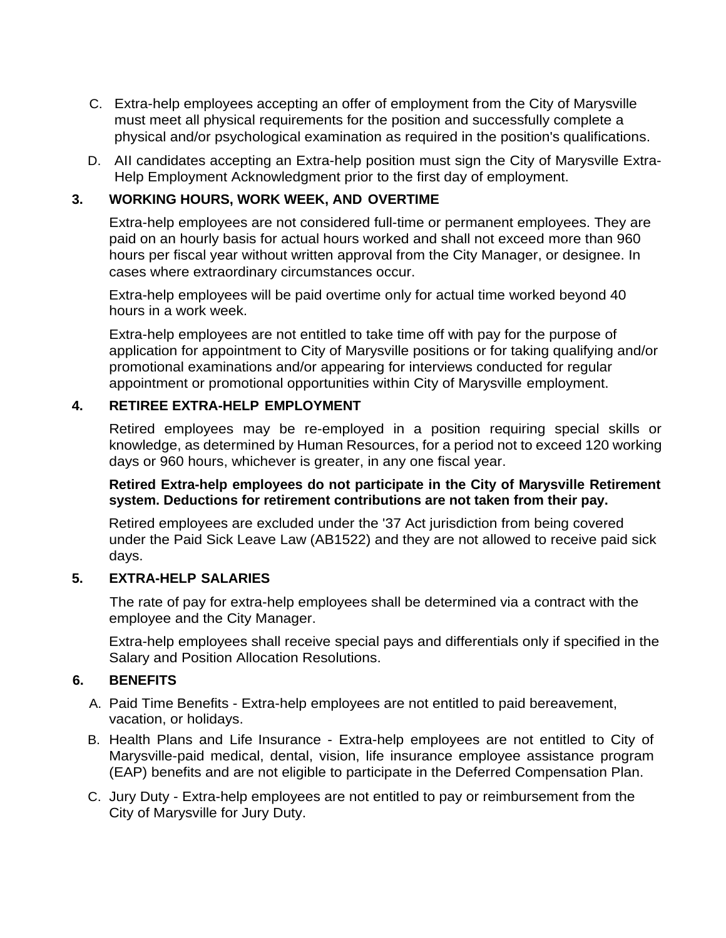- C. Extra-help employees accepting an offer of employment from the City of Marysville must meet all physical requirements for the position and successfully complete a physical and/or psychological examination as required in the position's qualifications.
- D. AII candidates accepting an Extra-help position must sign the City of Marysville Extra-Help Employment Acknowledgment prior to the first day of employment.

# **3. WORKING HOURS, WORK WEEK, AND OVERTIME**

Extra-help employees are not considered full-time or permanent employees. They are paid on an hourly basis for actual hours worked and shall not exceed more than 960 hours per fiscal year without written approval from the City Manager, or designee. In cases where extraordinary circumstances occur.

Extra-help employees will be paid overtime only for actual time worked beyond 40 hours in a work week.

Extra-help employees are not entitled to take time off with pay for the purpose of application for appointment to City of Marysville positions or for taking qualifying and/or promotional examinations and/or appearing for interviews conducted for regular appointment or promotional opportunities within City of Marysville employment.

#### **4. RETIREE EXTRA-HELP EMPLOYMENT**

Retired employees may be re-employed in a position requiring special skills or knowledge, as determined by Human Resources, for a period not to exceed 120 working days or 960 hours, whichever is greater, in any one fiscal year.

#### **Retired Extra-help employees do not participate in the City of Marysville Retirement system. Deductions for retirement contributions are not taken from their pay.**

Retired employees are excluded under the '37 Act jurisdiction from being covered under the Paid Sick Leave Law (AB1522) and they are not allowed to receive paid sick days.

# **5. EXTRA-HELP SALARIES**

The rate of pay for extra-help employees shall be determined via a contract with the employee and the City Manager.

Extra-help employees shall receive special pays and differentials only if specified in the Salary and Position Allocation Resolutions.

# **6. BENEFITS**

- A. Paid Time Benefits Extra-help employees are not entitled to paid bereavement, vacation, or holidays.
- B. Health Plans and Life Insurance Extra-help employees are not entitled to City of Marysville-paid medical, dental, vision, life insurance employee assistance program (EAP) benefits and are not eligible to participate in the Deferred Compensation Plan.
- C. Jury Duty Extra-help employees are not entitled to pay or reimbursement from the City of Marysville for Jury Duty.